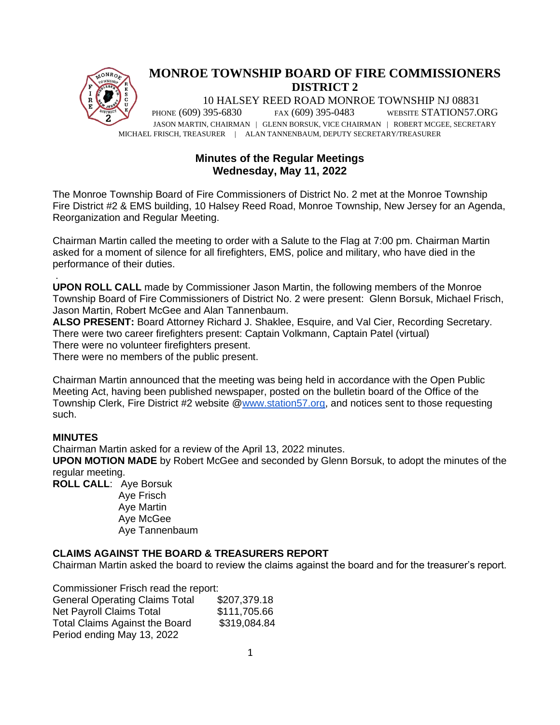

# **Minutes of the Regular Meetings Wednesday, May 11, 2022**

The Monroe Township Board of Fire Commissioners of District No. 2 met at the Monroe Township Fire District #2 & EMS building, 10 Halsey Reed Road, Monroe Township, New Jersey for an Agenda, Reorganization and Regular Meeting.

Chairman Martin called the meeting to order with a Salute to the Flag at 7:00 pm. Chairman Martin asked for a moment of silence for all firefighters, EMS, police and military, who have died in the performance of their duties.

. **UPON ROLL CALL** made by Commissioner Jason Martin, the following members of the Monroe Township Board of Fire Commissioners of District No. 2 were present: Glenn Borsuk, Michael Frisch, Jason Martin, Robert McGee and Alan Tannenbaum.

**ALSO PRESENT:** Board Attorney Richard J. Shaklee, Esquire, and Val Cier, Recording Secretary. There were two career firefighters present: Captain Volkmann, Captain Patel (virtual) There were no volunteer firefighters present.

There were no members of the public present.

Chairman Martin announced that the meeting was being held in accordance with the Open Public Meeting Act, having been published newspaper, posted on the bulletin board of the Office of the Township Clerk, Fire District #2 website [@www.station57.org,](http://www.station57.org/) and notices sent to those requesting such.

## **MINUTES**

Chairman Martin asked for a review of the April 13, 2022 minutes.

**UPON MOTION MADE** by Robert McGee and seconded by Glenn Borsuk, to adopt the minutes of the regular meeting.

**ROLL CALL**: Aye Borsuk

Aye Frisch Aye Martin Aye McGee Aye Tannenbaum

## **CLAIMS AGAINST THE BOARD & TREASURERS REPORT**

Chairman Martin asked the board to review the claims against the board and for the treasurer's report.

Commissioner Frisch read the report: General Operating Claims Total \$207,379.18 Net Payroll Claims Total \$111,705.66 Total Claims Against the Board \$319,084.84 Period ending May 13, 2022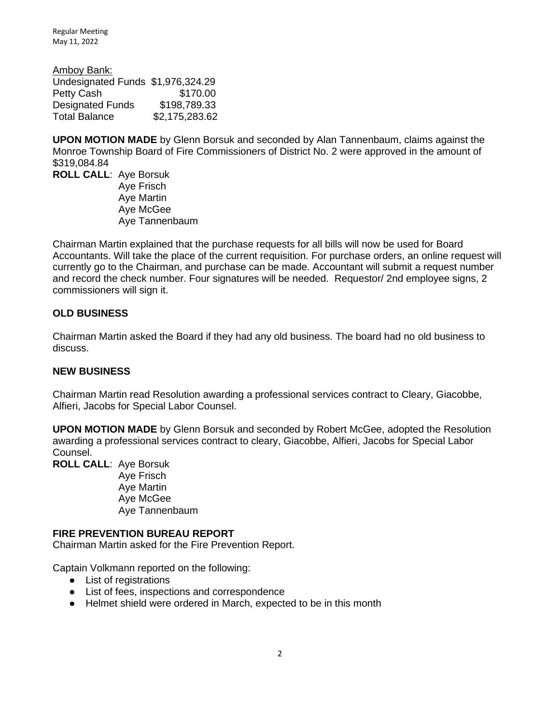Regular Meeting May 11, 2022

Amboy Bank: Undesignated Funds \$1,976,324.29 Petty Cash \$170.00 Designated Funds \$198,789.33 Total Balance \$2,175,283.62

**UPON MOTION MADE** by Glenn Borsuk and seconded by Alan Tannenbaum, claims against the Monroe Township Board of Fire Commissioners of District No. 2 were approved in the amount of \$319,084.84

**ROLL CALL**: Aye Borsuk Aye Frisch Aye Martin Aye McGee Aye Tannenbaum

Chairman Martin explained that the purchase requests for all bills will now be used for Board Accountants. Will take the place of the current requisition. For purchase orders, an online request will currently go to the Chairman, and purchase can be made. Accountant will submit a request number and record the check number. Four signatures will be needed. Requestor/ 2nd employee signs, 2 commissioners will sign it.

## **OLD BUSINESS**

Chairman Martin asked the Board if they had any old business. The board had no old business to discuss.

## **NEW BUSINESS**

Chairman Martin read Resolution awarding a professional services contract to Cleary, Giacobbe, Alfieri, Jacobs for Special Labor Counsel.

**UPON MOTION MADE** by Glenn Borsuk and seconded by Robert McGee, adopted the Resolution awarding a professional services contract to cleary, Giacobbe, Alfieri, Jacobs for Special Labor Counsel.

**ROLL CALL**: Aye Borsuk

Aye Frisch Aye Martin Aye McGee Aye Tannenbaum

## **FIRE PREVENTION BUREAU REPORT**

Chairman Martin asked for the Fire Prevention Report.

Captain Volkmann reported on the following:

- List of registrations
- List of fees, inspections and correspondence
- Helmet shield were ordered in March, expected to be in this month